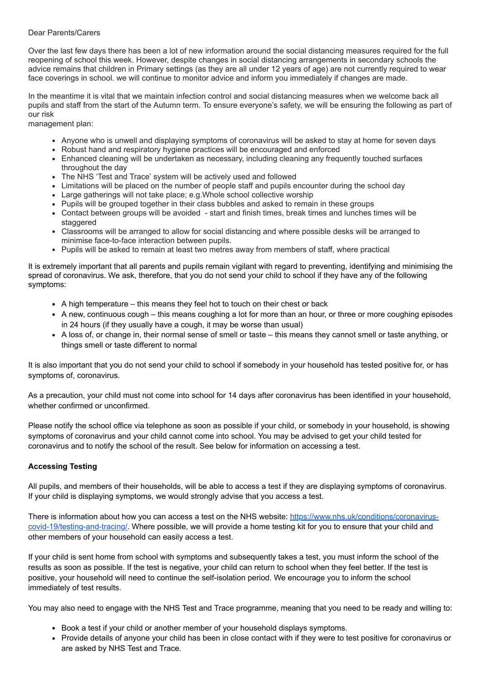## Dear Parents/Carers

Over the last few days there has been a lot of new information around the social distancing measures required for the full reopening of school this week. However, despite changes in social distancing arrangements in secondary schools the advice remains that children in Primary settings (as they are all under 12 years of age) are not currently required to wear face coverings in school. we will continue to monitor advice and inform you immediately if changes are made.

In the meantime it is vital that we maintain infection control and social distancing measures when we welcome back all pupils and staff from the start of the Autumn term. To ensure everyone's safety, we will be ensuring the following as part of our risk

management plan:

- Anyone who is unwell and displaying symptoms of coronavirus will be asked to stay at home for seven days
- Robust hand and respiratory hygiene practices will be encouraged and enforced
- Enhanced cleaning will be undertaken as necessary, including cleaning any frequently touched surfaces throughout the day
- The NHS 'Test and Trace' system will be actively used and followed
- Limitations will be placed on the number of people staff and pupils encounter during the school day
- Large gatherings will not take place; e.g.Whole school collective worship
- Pupils will be grouped together in their class bubbles and asked to remain in these groups
- Contact between groups will be avoided start and finish times, break times and lunches times will be staggered
- Classrooms will be arranged to allow for social distancing and where possible desks will be arranged to minimise face-to-face interaction between pupils.
- Pupils will be asked to remain at least two metres away from members of staff, where practical

It is extremely important that all parents and pupils remain vigilant with regard to preventing, identifying and minimising the spread of coronavirus. We ask, therefore, that you do not send your child to school if they have any of the following symptoms:

- A high temperature this means they feel hot to touch on their chest or back
- A new, continuous cough this means coughing a lot for more than an hour, or three or more coughing episodes in 24 hours (if they usually have a cough, it may be worse than usual)
- A loss of, or change in, their normal sense of smell or taste this means they cannot smell or taste anything, or things smell or taste different to normal

It is also important that you do not send your child to school if somebody in your household has tested positive for, or has symptoms of, coronavirus.

As a precaution, your child must not come into school for 14 days after coronavirus has been identified in your household, whether confirmed or unconfirmed.

Please notify the school office via telephone as soon as possible if your child, or somebody in your household, is showing symptoms of coronavirus and your child cannot come into school. You may be advised to get your child tested for coronavirus and to notify the school of the result. See below for information on accessing a test.

## **Accessing Testing**

All pupils, and members of their households, will be able to access a test if they are displaying symptoms of coronavirus. If your child is displaying symptoms, we would strongly advise that you access a test.

[There is information about how you can access a test on the NHS website: https://www.nhs.uk/conditions/coronavirus](https://www.nhs.uk/conditions/coronavirus-covid-19/testing-and-tracing/)covid-19/testing-and-tracing/. Where possible, we will provide a home testing kit for you to ensure that your child and other members of your household can easily access a test.

If your child is sent home from school with symptoms and subsequently takes a test, you must inform the school of the results as soon as possible. If the test is negative, your child can return to school when they feel better. If the test is positive, your household will need to continue the self-isolation period. We encourage you to inform the school immediately of test results.

You may also need to engage with the NHS Test and Trace programme, meaning that you need to be ready and willing to:

- Book a test if your child or another member of your household displays symptoms.
- Provide details of anyone your child has been in close contact with if they were to test positive for coronavirus or are asked by NHS Test and Trace.